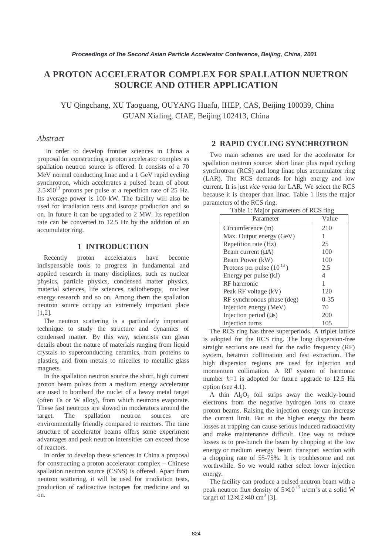# **A PROTON ACCELERATOR COMPLEX FOR SPALLATION NUETRON SOURCE AND OTHER APPLICATION**

YU Qingchang, XU Taoguang, OUYANG Huafu, IHEP, CAS, Beijing 100039, China GUAN Xialing, CIAE, Beijing 102413, China

# *Abstract*

In order to develop frontier sciences in China a proposal for constructing a proton accelerator complex as spallation neutron source is offered. It consists of a 70 MeV normal conducting linac and a 1 GeV rapid cycling synchrotron, which accelerates a pulsed beam of about  $2.5\times10^{13}$  protons per pulse at a repetition rate of 25 Hz. Its average power is 100 kW. The facility will also be used for irradiation tests and isotope production and so on. In future it can be upgraded to 2 MW. Its repetition rate can be converted to 12.5 Hz by the addition of an accumulator ring.

# **1 INTRODUCTION**

Recently proton accelerators have become indispensable tools to progress in fundamental and applied research in many disciplines, such as nuclear physics, particle physics, condensed matter physics, material sciences, life sciences, radiotherapy, nuclear energy research and so on. Among them the spallation neutron source occupy an extremely important place  $[1,2]$ .

The neutron scattering is a particularly important technique to study the structure and dynamics of condensed matter. By this way, scientists can glean details about the nature of materials ranging from liquid crystals to superconducting ceramics, from proteins to plastics, and from metals to micelles to metallic glass magnets.

In the spallation neutron source the short, high current proton beam pulses from a medium energy accelerator are used to bombard the nuclei of a heavy metal target (often Ta or W alloy), from which neutrons evaporate. These fast neutrons are slowed in moderators around the target. The spallation neutron sources are environmentally friendly compared to reactors. The time structure of accelerator beams offers some experiment advantages and peak neutron intensities can exceed those of reactors.

In order to develop these sciences in China a proposal for constructing a proton accelerator complex – Chinese spallation neutron source (CSNS) is offered. Apart from neutron scattering, it will be used for irradiation tests, production of radioactive isotopes for medicine and so on.

# **2 RAPID CYCLING SYNCHROTRON**

Two main schemes are used for the accelerator for spallation neutron source: short linac plus rapid cycling synchrotron (RCS) and long linac plus accumulator ring (LAR). The RCS demands for high energy and low current. It is just *vice versa* for LAR. We select the RCS because it is cheaper than linac. Table 1 lists the major parameters of the RCS ring.

| Lavie 1. Major parameters of KCS ring |          |  |
|---------------------------------------|----------|--|
| Parameter                             | Value    |  |
| Circumference (m)                     | 210      |  |
| Max. Output energy (GeV)              |          |  |
| Repetition rate (Hz)                  | 25       |  |
| Beam current $(\mu A)$                | 100      |  |
| Beam Power (kW)                       | 100      |  |
| Protons per pulse $(10^{13})$         | 2.5      |  |
| Energy per pulse (kJ)                 | 4        |  |
| RF harmonic                           |          |  |
| Peak RF voltage (kV)                  | 120      |  |
| RF synchronous phase (deg)            | $0 - 35$ |  |
| Injection energy (MeV)                | 70       |  |
| Injection period $(\mu s)$            | 200      |  |
| Injection turns                       | 105      |  |

Table 1: Major parameters of RCS ring

The RCS ring has three superperiods. A triplet lattice is adopted for the RCS ring. The long dispersion-free straight sections are used for the radio frequency (RF) system, betatron collimation and fast extraction. The high dispersion regions are used for injection and momentum collimation. A RF system of harmonic number  $h=1$  is adopted for future upgrade to 12.5 Hz option (see 4.1).

A thin  $Al_2O_3$  foil strips away the weakly-bound electrons from the negative hydrogen ions to create proton beams. Raising the injection energy can increase the current limit. But at the higher energy the beam losses at trapping can cause serious induced radioactivity and make maintenance difficult. One way to reduce losses is to pre-bunch the beam by chopping at the low energy or medium energy beam transport section with a chopping rate of 55-75%. It is troublesome and not worthwhile. So we would rather select lower injection energy.

The facility can produce a pulsed neutron beam with a peak neutron flux density of  $5 \times 10^{-15}$  n/cm<sup>2</sup>s at a solid W target of  $12\times12\times40$  cm<sup>3</sup> [3].